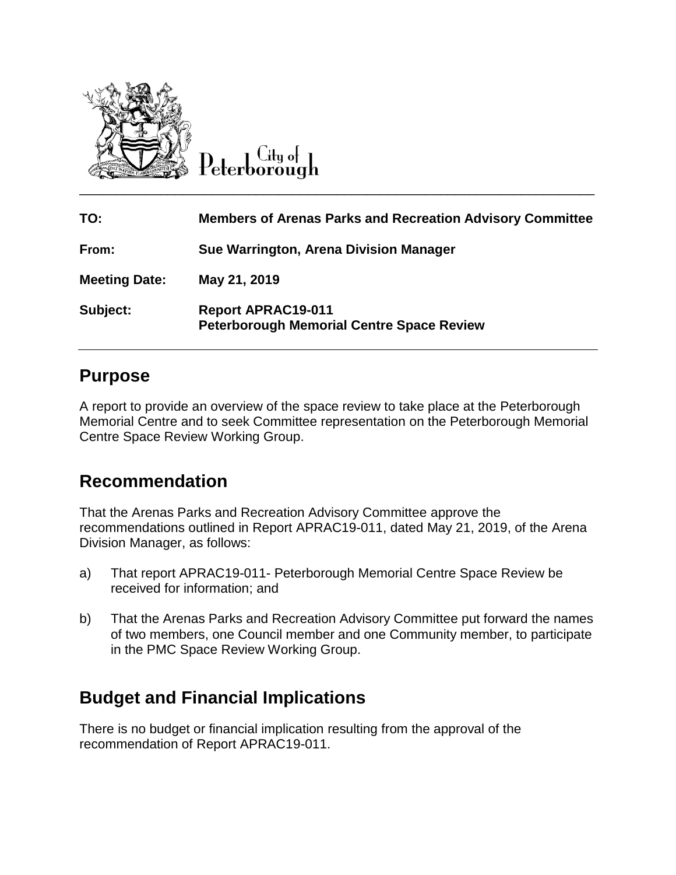

 $C$ ity of

| TO:                  | <b>Members of Arenas Parks and Recreation Advisory Committee</b>              |
|----------------------|-------------------------------------------------------------------------------|
| From:                | Sue Warrington, Arena Division Manager                                        |
| <b>Meeting Date:</b> | May 21, 2019                                                                  |
| Subject:             | <b>Report APRAC19-011</b><br><b>Peterborough Memorial Centre Space Review</b> |

# **Purpose**

A report to provide an overview of the space review to take place at the Peterborough Memorial Centre and to seek Committee representation on the Peterborough Memorial Centre Space Review Working Group.

# **Recommendation**

That the Arenas Parks and Recreation Advisory Committee approve the recommendations outlined in Report APRAC19-011, dated May 21, 2019, of the Arena Division Manager, as follows:

- a) That report APRAC19-011- Peterborough Memorial Centre Space Review be received for information; and
- b) That the Arenas Parks and Recreation Advisory Committee put forward the names of two members, one Council member and one Community member, to participate in the PMC Space Review Working Group.

# **Budget and Financial Implications**

There is no budget or financial implication resulting from the approval of the recommendation of Report APRAC19-011.